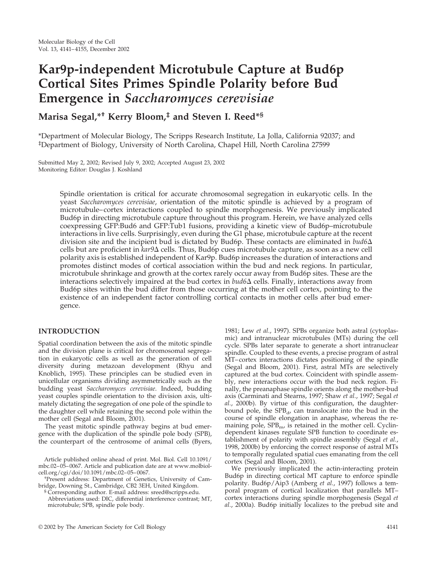# **Kar9p-independent Microtubule Capture at Bud6p Cortical Sites Primes Spindle Polarity before Bud Emergence in** *Saccharomyces cerevisiae*

# **Marisa Segal,\*† Kerry Bloom,‡ and Steven I. Reed\*§**

\*Department of Molecular Biology, The Scripps Research Institute, La Jolla, California 92037; and ‡ Department of Biology, University of North Carolina, Chapel Hill, North Carolina 27599

Submitted May 2, 2002; Revised July 9, 2002; Accepted August 23, 2002 Monitoring Editor: Douglas J. Koshland

> Spindle orientation is critical for accurate chromosomal segregation in eukaryotic cells. In the yeast *Saccharomyces cerevisiae*, orientation of the mitotic spindle is achieved by a program of microtubule–cortex interactions coupled to spindle morphogenesis. We previously implicated Bud6p in directing microtubule capture throughout this program. Herein, we have analyzed cells coexpressing GFP:Bud6 and GFP:Tub1 fusions, providing a kinetic view of Bud6p–microtubule interactions in live cells. Surprisingly, even during the G1 phase, microtubule capture at the recent division site and the incipient bud is dictated by Bud6p. These contacts are eliminated in  $bud6\Delta$ cells but are proficient in *kar*9Δ cells. Thus, Bud6p cues microtubule capture, as soon as a new cell polarity axis is established independent of Kar9p. Bud6p increases the duration of interactions and promotes distinct modes of cortical association within the bud and neck regions. In particular, microtubule shrinkage and growth at the cortex rarely occur away from Bud6p sites. These are the interactions selectively impaired at the bud cortex in  $bud6\Delta$  cells. Finally, interactions away from Bud6p sites within the bud differ from those occurring at the mother cell cortex, pointing to the existence of an independent factor controlling cortical contacts in mother cells after bud emergence.

### **INTRODUCTION**

Spatial coordination between the axis of the mitotic spindle and the division plane is critical for chromosomal segregation in eukaryotic cells as well as the generation of cell diversity during metazoan development (Rhyu and Knoblich, 1995). These principles can be studied even in unicellular organisms dividing asymmetrically such as the budding yeast *Saccharomyces cerevisiae*. Indeed, budding yeast couples spindle orientation to the division axis, ultimately dictating the segregation of one pole of the spindle to the daughter cell while retaining the second pole within the mother cell (Segal and Bloom, 2001).

The yeast mitotic spindle pathway begins at bud emergence with the duplication of the spindle pole body (SPB), the counterpart of the centrosome of animal cells (Byers,

Article published online ahead of print. Mol. Biol. Cell 10.1091/ mbc.02–05–0067. Article and publication date are at www.molbiolcell.org/cgi/doi/10.1091/mbc.02–05–0067. †

Present address: Department of Genetics, University of Cambridge, Downing St., Cambridge, CB2 3EH, United Kingdom.

§ Corresponding author. E-mail address: sreed@scripps.edu. Abbreviations used: DIC, differential interference contrast; MT,

microtubule; SPB, spindle pole body.

1981; Lew *et al.*, 1997). SPBs organize both astral (cytoplasmic) and intranuclear microtubules (MTs) during the cell cycle. SPBs later separate to generate a short intranuclear spindle. Coupled to these events, a precise program of astral MT–cortex interactions dictates positioning of the spindle (Segal and Bloom, 2001). First, astral MTs are selectively captured at the bud cortex. Coincident with spindle assembly, new interactions occur with the bud neck region. Finally, the preanaphase spindle orients along the mother-bud axis (Carminati and Stearns, 1997; Shaw *et al.*, 1997; Segal *et al.*, 2000b). By virtue of this configuration, the daughterbound pole, the  $SPB_{d}$ , can translocate into the bud in the course of spindle elongation in anaphase, whereas the remaining pole,  $SPB<sub>m</sub>$ , is retained in the mother cell. Cyclindependent kinases regulate SPB function to coordinate establishment of polarity with spindle assembly (Segal *et al.*, 1998, 2000b) by enforcing the correct response of astral MTs to temporally regulated spatial cues emanating from the cell cortex (Segal and Bloom, 2001).

We previously implicated the actin-interacting protein Bud6p in directing cortical MT capture to enforce spindle polarity. Bud6p/Aip3 (Amberg *et al.*, 1997) follows a temporal program of cortical localization that parallels MT– cortex interactions during spindle morphogenesis (Segal *et al.*, 2000a). Bud6p initially localizes to the prebud site and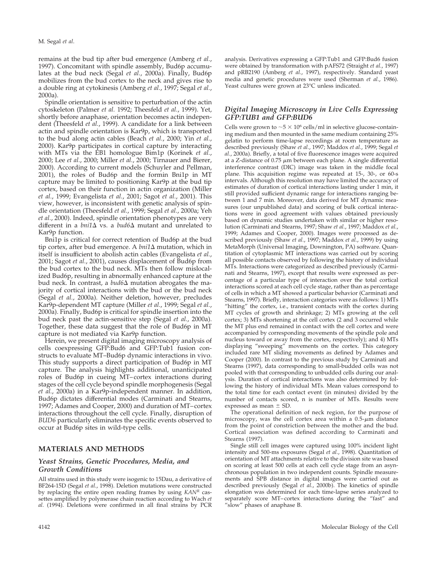remains at the bud tip after bud emergence (Amberg *et al.*, 1997). Concomitant with spindle assembly, Bud6p accumulates at the bud neck (Segal *et al.*, 2000a). Finally, Bud6p mobilizes from the bud cortex to the neck and gives rise to a double ring at cytokinesis (Amberg *et al.*, 1997; Segal *et al.*, 2000a).

Spindle orientation is sensitive to perturbation of the actin cytoskeleton (Palmer *et al.* 1992; Theesfeld *et al.*, 1999). Yet, shortly before anaphase, orientation becomes actin independent (Theesfeld *et al.*, 1999). A candidate for a link between actin and spindle orientation is Kar9p, which is transported to the bud along actin cables (Beach *et al.*, 2000; Yin *et al.*, 2000). Kar9p participates in cortical capture by interacting with MTs via the EB1 homologue Bim1p (Korinek *et al.*, 2000; Lee *et al.*, 2000; Miller *et al.*, 2000; Tirnauer and Bierer, 2000). According to current models (Schuyler and Pellman, 2001), the roles of Bud6p and the formin Bni1p in MT capture may be limited to positioning Kar9p at the bud tip cortex, based on their function in actin organization (Miller *et al.*, 1999; Evangelista *et al.*, 2001; Sagot *et al.*, 2001). This view, however, is inconsistent with genetic analysis of spindle orientation (Theesfeld *et al.*, 1999; Segal *et al.*, 2000a; Yeh *et al.*, 2000). Indeed, spindle orientation phenotypes are very different in a  $bni1\Delta$  vs. a  $bud6\Delta$  mutant and unrelated to Kar9p function.

Bni1p is critical for correct retention of Bud6p at the bud tip cortex, after bud emergence. A  $\text{bni1}\Delta$  mutation, which in itself is insufficient to abolish actin cables (Evangelista *et al.*, 2001; Sagot *et al.*, 2001), causes displacement of Bud6p from the bud cortex to the bud neck. MTs then follow mislocalized Bud6p, resulting in abnormally enhanced capture at the bud neck. In contrast, a  $bud6\Delta$  mutation abrogates the majority of cortical interactions with the bud or the bud neck (Segal *et al.*, 2000a). Neither deletion, however, precludes Kar9p-dependent MT capture (Miller *et al.*, 1999; Segal *et al.*, 2000a). Finally, Bud6p is critical for spindle insertion into the bud neck past the actin-sensitive step (Segal *et al.*, 2000a). Together, these data suggest that the role of Bud6p in MT capture is not mediated via Kar9p function.

Herein, we present digital imaging microscopy analysis of cells coexpressing GFP:Bud6 and GFP:Tub1 fusion constructs to evaluate MT–Bud6p dynamic interactions in vivo. This study supports a direct participation of Bud6p in MT capture. The analysis highlights additional, unanticipated roles of Bud6p in cueing MT–cortex interactions during stages of the cell cycle beyond spindle morphogenesis (Segal *et al.*, 2000a) in a Kar9p-independent manner. In addition, Bud6p dictates differential modes (Carminati and Stearns, 1997; Adames and Cooper, 2000) and duration of MT–cortex interactions throughout the cell cycle. Finally, disruption of *BUD6* particularly eliminates the specific events observed to occur at Bud6p sites in wild-type cells.

# **MATERIALS AND METHODS**

### *Yeast Strains, Genetic Procedures, Media, and Growth Conditions*

All strains used in this study were isogenic to 15Dau, a derivative of BF264-15D (Segal *et al.*, 1998). Deletion mutations were constructed by replacing the entire open reading frames by using *KANR* cassettes amplified by polymerase chain reaction according to Wach *et al.* (1994). Deletions were confirmed in all final strains by PCR

analysis. Derivatives expressing a GFP:Tub1 and GFP:Bud6 fusion were obtained by transformation with pAFS72 (Straight *et al.*, 1997) and pRB2190 (Amberg *et al.*, 1997), respectively. Standard yeast media and genetic procedures were used (Sherman *et al.*, 1986). Yeast cultures were grown at 23°C unless indicated.

### *Digital Imaging Microscopy in Live Cells Expressing GFP:TUB1 and GFP:BUD6*

Cells were grown to  $\sim$  5  $\times$  10<sup>6</sup> cells/ml in selective glucose-containing medium and then mounted in the same medium containing 25% gelatin to perform time-lapse recordings at room temperature as described previously (Shaw *et al.*, 1997; Maddox *et al.*, 1999; Segal *et al.*, 2000a). Briefly, a total of five fluorescence images were acquired at a Z-distance of  $0.75 \mu m$  between each plane. A single differential interference contrast (DIC) image was taken in the middle focal plane. This acquisition regime was repeated at 15-, 30-, or 60-s intervals. Although this resolution may have limited the accuracy of estimates of duration of cortical interactions lasting under 1 min, it still provided sufficient dynamic range for interactions ranging between 1 and 7 min. Moreover, data derived for MT dynamic measures (our unpublished data) and scoring of bulk cortical interactions were in good agreement with values obtained previously based on dynamic studies undertaken with similar or higher resolution (Carminati and Stearns, 1997; Shaw *et al.*, 1997; Maddox *et al.*, 1999; Adames and Cooper, 2000). Images were processed as described previously (Shaw *et al.*, 1997; Maddox *et al.*, 1999) by using MetaMorph (Universal Imaging, Downington, PA) software. Quantitation of cytoplasmic MT interactions was carried out by scoring all possible contacts observed by following the history of individual MTs. Interactions were categorized as described previously (Carminati and Stearns, 1997), except that results were expressed as percentage of a particular type of interaction over the total cortical interactions scored at each cell cycle stage, rather than as percentage of cells in which a MT showed a particular behavior (Carminati and Stearns, 1997). Briefly, interaction categories were as follows: 1) MTs "hitting" the cortex, i.e., transient contacts with the cortex during MT cycles of growth and shrinkage; 2) MTs growing at the cell cortex; 3) MTs shortening at the cell cortex (2 and 3 occurred while the MT plus end remained in contact with the cell cortex and were accompanied by corresponding movements of the spindle pole and nucleus toward or away from the cortex, respectively); and 4) MTs displaying "sweeping" movements on the cortex. This category included rare MT sliding movements as defined by Adames and Cooper (2000). In contrast to the previous study by Carminati and Stearns (1997), data corresponding to small-budded cells was not pooled with that corresponding to unbudded cells during our analysis. Duration of cortical interactions was also determined by following the history of individual MTs. Mean values correspond to the total time for each contact event (in minutes) divided by the number of contacts scored, n is number of MTs. Results were expressed as mean  $\pm$  SD.

The operational definition of neck region, for the purpose of microscopy, was the cell cortex area within a  $0.5$ - $\mu$ m distance from the point of constriction between the mother and the bud. Cortical association was defined according to Carminati and Stearns (1997).

Single still cell images were captured using 100% incident light intensity and 500-ms exposures (Segal *et al.*, 1998). Quantitation of orientation of MT attachments relative to the division site was based on scoring at least 500 cells at each cell cycle stage from an asynchronous population in two independent counts. Spindle measurements and SPB distance in digital images were carried out as described previously (Segal *et al.*, 2000b). The kinetics of spindle elongation was determined for each time-lapse series analyzed to separately score MT–cortex interactions during the "fast" and "slow" phases of anaphase B.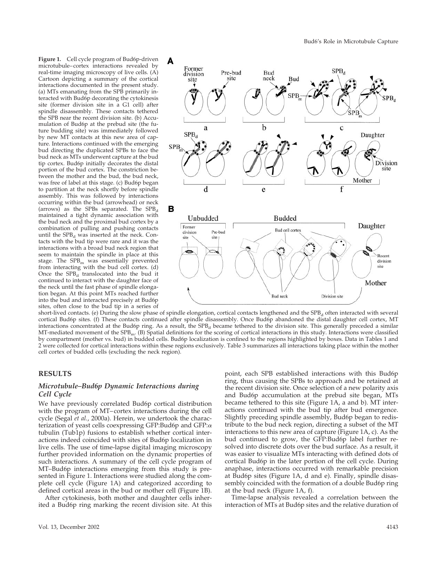**Figure 1.** Cell cycle program of Bud6p-driven microtubule–cortex interactions revealed by real-time imaging microscopy of live cells. (A) Cartoon depicting a summary of the cortical interactions documented in the present study. (a) MTs emanating from the SPB primarily interacted with Bud6p decorating the cytokinesis site (former division site in a G1 cell) after spindle disassembly. These contacts tethered the SPB near the recent division site. (b) Accumulation of Bud6p at the prebud site (the future budding site) was immediately followed by new MT contacts at this new area of capture. Interactions continued with the emerging bud directing the duplicated SPBs to face the bud neck as MTs underwent capture at the bud tip cortex. Bud6p initially decorates the distal portion of the bud cortex. The constriction between the mother and the bud, the bud neck, was free of label at this stage. (c) Bud6p began to partition at the neck shortly before spindle assembly. This was followed by interactions occurring within the bud (arrowhead) or neck  $(arrows)$  as the SPBs separated. The SPB<sub>d</sub> maintained a tight dynamic association with the bud neck and the proximal bud cortex by a combination of pulling and pushing contacts until the  $SPB<sub>d</sub>$  was inserted at the neck. Contacts with the bud tip were rare and it was the interactions with a broad bud neck region that seem to maintain the spindle in place at this stage. The  $SPB<sub>m</sub>$  was essentially prevented from interacting with the bud cell cortex. (d) Once the  $SPB<sub>d</sub>$  translocated into the bud it continued to interact with the daughter face of the neck until the fast phase of spindle elongation began. At this point MTs reached further into the bud and interacted precisely at Bud6p sites, often close to the bud tip in a series of



short-lived contacts. (e) During the slow phase of spindle elongation, cortical contacts lengthened and the SPB<sub>d</sub> often interacted with several cortical Bud6p sites. (f) These contacts continued after spindle disassembly. Once Bud6p abandoned the distal daughter cell cortex, MT interactions concentrated at the Bud6p ring. As a result, the  $SPB<sub>d</sub>$  became tethered to the division site. This generally preceded a similar MT-mediated movement of the SPB<sub>m</sub>. (B) Spatial definitions for the scoring of cortical interactions in this study. Interactions were classified by compartment (mother vs. bud) in budded cells. Bud6p localization is confined to the regions highlighted by boxes. Data in Tables 1 and 2 were collected for cortical interactions within these regions exclusively. Table 3 summarizes all interactions taking place within the mother cell cortex of budded cells (excluding the neck region).

### **RESULTS**

### *Microtubule–Bud6p Dynamic Interactions during Cell Cycle*

We have previously correlated Bud6p cortical distribution with the program of MT–cortex interactions during the cell cycle (Segal *et al.*, 2000a). Herein, we undertook the characterization of yeast cells coexpressing GFP:Bud6p and GFP: $\alpha$ tubulin (Tub1p) fusions to establish whether cortical interactions indeed coincided with sites of Bud6p localization in live cells. The use of time-lapse digital imaging microscopy further provided information on the dynamic properties of such interactions. A summary of the cell cycle program of MT–Bud6p interactions emerging from this study is presented in Figure 1. Interactions were studied along the complete cell cycle (Figure 1A) and categorized according to defined cortical areas in the bud or mother cell (Figure 1B).

After cytokinesis, both mother and daughter cells inherited a Bud6p ring marking the recent division site. At this point, each SPB established interactions with this Bud6p ring, thus causing the SPBs to approach and be retained at the recent division site. Once selection of a new polarity axis and Bud6p accumulation at the prebud site began, MTs became tethered to this site (Figure 1A, a and b). MT interactions continued with the bud tip after bud emergence. Slightly preceding spindle assembly, Bud6p began to redistribute to the bud neck region, directing a subset of the MT interactions to this new area of capture (Figure 1A, c). As the bud continued to grow, the GFP:Bud6p label further resolved into discrete dots over the bud surface. As a result, it was easier to visualize MTs interacting with defined dots of cortical Bud6p in the later portion of the cell cycle. During anaphase, interactions occurred with remarkable precision at Bud6p sites (Figure 1A, d and e). Finally, spindle disassembly coincided with the formation of a double Bud6p ring at the bud neck (Figure 1A, f).

Time-lapse analysis revealed a correlation between the interaction of MTs at Bud6p sites and the relative duration of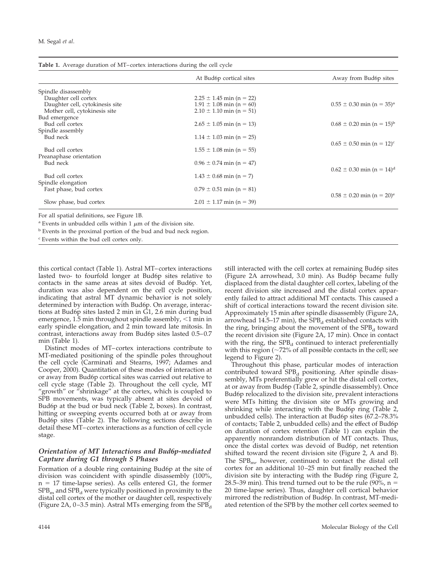|                                     | At Bud6p cortical sites      | Away from Bud6p sites                     |
|-------------------------------------|------------------------------|-------------------------------------------|
| Spindle disassembly                 |                              |                                           |
| Daughter cell cortex                | $2.25 \pm 1.45$ min (n = 22) |                                           |
| Daughter cell, cytokinesis site     | $1.91 \pm 1.08$ min (n = 60) | $0.55 \pm 0.30$ min (n = 35) <sup>a</sup> |
| Mother cell, cytokinesis site       | $2.10 \pm 1.10$ min (n = 51) |                                           |
| Bud emergence                       |                              |                                           |
| Bud cell cortex                     | $2.65 \pm 1.05$ min (n = 13) | $0.68 \pm 0.20$ min (n = 15) <sup>b</sup> |
| Spindle assembly                    |                              |                                           |
| Bud neck                            | $1.14 \pm 1.03$ min (n = 25) |                                           |
|                                     |                              | $0.65 \pm 0.50$ min (n = 12) <sup>c</sup> |
| Bud cell cortex                     | $1.55 \pm 1.08$ min (n = 55) |                                           |
| Preanaphase orientation<br>Bud neck |                              |                                           |
|                                     | $0.96 \pm 0.74$ min (n = 47) | $0.62 \pm 0.30$ min (n = 14) <sup>d</sup> |
| Bud cell cortex                     | $1.43 \pm 0.68$ min (n = 7)  |                                           |
| Spindle elongation                  |                              |                                           |
| Fast phase, bud cortex              | $0.79 \pm 0.51$ min (n = 81) |                                           |
|                                     |                              | $0.58 \pm 0.20$ min (n = 20) <sup>e</sup> |
| Slow phase, bud cortex              | $2.01 \pm 1.17$ min (n = 39) |                                           |

For all spatial definitions, see Figure 1B.

<sup>a</sup> Events in unbudded cells within 1  $\mu$ m of the division site.

<sup>b</sup> Events in the proximal portion of the bud and bud neck region.

<sup>c</sup> Events within the bud cell cortex only.

this cortical contact (Table 1). Astral MT–cortex interactions lasted two- to fourfold longer at Bud6p sites relative to contacts in the same areas at sites devoid of Bud6p. Yet, duration was also dependent on the cell cycle position, indicating that astral MT dynamic behavior is not solely determined by interaction with Bud6p. On average, interactions at Bud6p sites lasted 2 min in G1, 2.6 min during bud emergence,  $1.5$  min throughout spindle assembly,  $\leq 1$  min in early spindle elongation, and 2 min toward late mitosis. In contrast, interactions away from Bud6p sites lasted 0.5–0.7 min (Table 1).

Distinct modes of MT–cortex interactions contribute to MT-mediated positioning of the spindle poles throughout the cell cycle (Carminati and Stearns, 1997; Adames and Cooper, 2000). Quantitation of these modes of interaction at or away from Bud6p cortical sites was carried out relative to cell cycle stage (Table 2). Throughout the cell cycle, MT "growth" or "shrinkage" at the cortex, which is coupled to SPB movements, was typically absent at sites devoid of Bud6p at the bud or bud neck (Table 2, boxes). In contrast, hitting or sweeping events occurred both at or away from Bud6p sites (Table 2). The following sections describe in detail these MT–cortex interactions as a function of cell cycle stage.

### *Orientation of MT Interactions and Bud6p-mediated Capture during G1 through S Phases*

Formation of a double ring containing Bud6p at the site of division was coincident with spindle disassembly (100%,  $n = 17$  time-lapse series). As cells entered G1, the former  $SPB<sub>m</sub>$  and  $SPB<sub>d</sub>$  were typically positioned in proximity to the distal cell cortex of the mother or daughter cell, respectively (Figure 2A,  $0-3.5$  min). Astral MTs emerging from the SPB<sub>d</sub> still interacted with the cell cortex at remaining Bud6p sites (Figure 2A arrowhead, 3.0 min). As Bud6p became fully displaced from the distal daughter cell cortex, labeling of the recent division site increased and the distal cortex apparently failed to attract additional MT contacts. This caused a shift of cortical interactions toward the recent division site. Approximately 15 min after spindle disassembly (Figure 2A, arrowhead 14.5–17 min), the  $SPB<sub>d</sub>$  established contacts with the ring, bringing about the movement of the  $SPB<sub>d</sub>$  toward the recent division site (Figure 2A, 17 min). Once in contact with the ring, the  $SPB<sub>d</sub>$  continued to interact preferentially with this region ( $\sim$ 72% of all possible contacts in the cell; see legend to Figure 2).

Throughout this phase, particular modes of interaction contributed toward  $SPB<sub>d</sub>$  positioning. After spindle disassembly, MTs preferentially grew or hit the distal cell cortex, at or away from Bud6p (Table 2, spindle disassembly). Once Bud6p relocalized to the division site, prevalent interactions were MTs hitting the division site or MTs growing and shrinking while interacting with the Bud6p ring (Table 2, unbudded cells). The interaction at Bud6p sites (67.2–78.3% of contacts; Table 2, unbudded cells) and the effect of Bud6p on duration of cortex retention (Table 1) can explain the apparently nonrandom distribution of MT contacts. Thus, once the distal cortex was devoid of Bud6p, net retention shifted toward the recent division site (Figure 2, A and B). The  $SPB_{\rm m}$ , however, continued to contact the distal cell cortex for an additional 10–25 min but finally reached the division site by interacting with the Bud6p ring (Figure 2, 28.5–39 min). This trend turned out to be the rule (90%,  $n =$ 20 time-lapse series). Thus, daughter cell cortical behavior mirrored the redistribution of Bud6p. In contrast, MT-mediated retention of the SPB by the mother cell cortex seemed to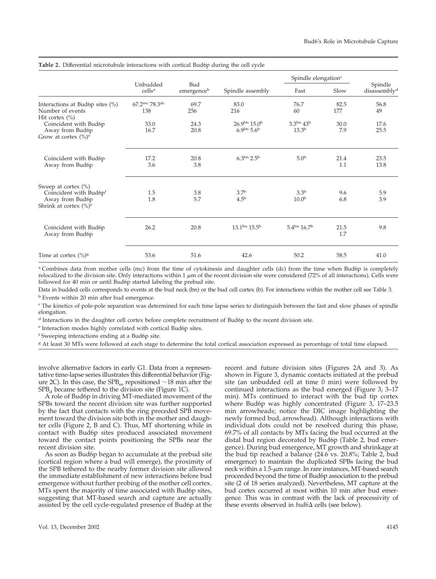|                                                                                                   | Unbudded<br>cells <sup>a</sup>                 | Bud<br>emergenceb |                                                     | Spindle elongation <sup>c</sup>        |             |                                     |
|---------------------------------------------------------------------------------------------------|------------------------------------------------|-------------------|-----------------------------------------------------|----------------------------------------|-------------|-------------------------------------|
|                                                                                                   |                                                |                   | Spindle assembly                                    | Fast                                   | Slow        | Spindle<br>disassembly <sup>d</sup> |
| Interactions at Bud6p sites (%)<br>Number of events<br>Hit cortex $(\% )$                         | $67.2$ <sup>mc</sup> 78.3 <sup>dc</sup><br>138 | 69.7<br>256       | 83.0<br>216                                         | 76.7<br>60                             | 82.5<br>177 | 56.8<br>49                          |
| Coincident with Bud6p<br>Away from Bud6p<br>Grow at cortex $(\%)^e$                               | 33.0<br>16.7                                   | 24.3<br>20.8      | $26.9^{bn}$ 15.0 <sup>b</sup><br>$6.9^{bn} 5.6^{b}$ | $3.3^{bn} 43^{b}$<br>13.3 <sup>b</sup> | 30.0<br>7.9 | 17.6<br>25.5                        |
| Coincident with Bud6p<br>Away from Bud6p                                                          | 17.2<br>3.6                                    | 20.8<br>3.8       | $6.3^{bn}$ $2.5^{b}$                                | 5.0 <sup>b</sup>                       | 21.4<br>1.1 | 23.5<br>13.8                        |
| Sweep at cortex $(\% )$<br>Coincident with Bud6pf<br>Away from Bud6p<br>Shrink at cortex $(\%)^e$ | 1.5<br>1.8                                     | 3.8<br>5.7        | 3.7 <sup>b</sup><br>4.5 <sup>b</sup>                | 3.3 <sup>b</sup><br>10.0 <sup>b</sup>  | 9.6<br>6.8  | 5.9<br>3.9                          |
| Coincident with Bud6p<br>Away from Bud6p                                                          | 26.2                                           | 20.8              | $13.1^{bn}$ $15.5^b$                                | $5.4^{bn}$ 16.7 <sup>b</sup>           | 21.5<br>1.7 | 9.8                                 |
| Time at cortex $(\%)^g$                                                                           | 53.6                                           | 51.6              | 42.6                                                | 50.2                                   | 58.5        | 41.0                                |

**Table 2.** Differential microtubule interactions with cortical Bud6p during the cell cycle

<sup>a</sup> Combines data from mother cells (mc) from the time of cytokinesis and daughter cells (dc) from the time when Bud6p is completely relocalized to the division site. Only interactions within  $1 \mu m$  of the recent division site were considered (72% of all interactions). Cells were followed for 40 min or until Bud6p started labeling the prebud site.

Data in budded cells corresponds to events at the bud neck (bn) or the bud cell cortex (b). For interactions within the mother cell see Table 3. <sup>b</sup> Events within 20 min after bud emergence.

<sup>c</sup> The kinetics of pole-pole separation was determined for each time lapse series to distinguish between the fast and slow phases of spindle elongation.

<sup>d</sup> Interactions in the daughter cell cortex before complete recruitment of Bud6p to the recent division site.

<sup>e</sup> Interaction modes highly correlated with cortical Bud6p sites.

<sup>f</sup> Sweeping interactions ending at a Bud6p site.

<sup>g</sup> At least 30 MTs were followed at each stage to determine the total cortical association expressed as percentage of total time elapsed.

involve alternative factors in early G1. Data from a representative time-lapse series illustrates this differential behavior (Figure 2C). In this case, the  $SPB<sub>m</sub>$  repositioned  $\sim$  18 min after the  $SPB<sub>d</sub>$  became tethered to the division site (Figure 1C).

A role of Bud6p in driving MT-mediated movement of the SPBs toward the recent division site was further supported by the fact that contacts with the ring preceded SPB movement toward the division site both in the mother and daughter cells (Figure 2, B and C). Thus, MT shortening while in contact with Bud6p sites produced associated movement toward the contact points positioning the SPBs near the recent division site.

As soon as Bud6p began to accumulate at the prebud site (cortical region where a bud will emerge), the proximity of the SPB tethered to the nearby former division site allowed the immediate establishment of new interactions before bud emergence without further probing of the mother cell cortex. MTs spent the majority of time associated with Bud6p sites, suggesting that MT-based search and capture are actually assisted by the cell cycle-regulated presence of Bud6p at the recent and future division sites (Figures 2A and 3). As shown in Figure 3, dynamic contacts initiated at the prebud site (an unbudded cell at time 0 min) were followed by continued interactions as the bud emerged (Figure 3, 3–17 min). MTs continued to interact with the bud tip cortex where Bud6p was highly concentrated (Figure 3, 17–23.5 min arrowheads; notice the DIC image highlighting the newly formed bud, arrowhead). Although interactions with individual dots could not be resolved during this phase, 69.7% of all contacts by MTs facing the bud occurred at the distal bud region decorated by Bud6p (Table 2, bud emergence). During bud emergence, MT growth and shrinkage at the bud tip reached a balance (24.6 vs. 20.8%; Table 2, bud emergence) to maintain the duplicated SPBs facing the bud neck within a  $1.5$ - $\mu$ m range. In rare instances, MT-based search proceeded beyond the time of Bud6p association to the prebud site (2 of 18 series analyzed). Nevertheless, MT capture at the bud cortex occurred at most within 10 min after bud emergence. This was in contrast with the lack of processivity of these events observed in  $bud6\Delta$  cells (see below).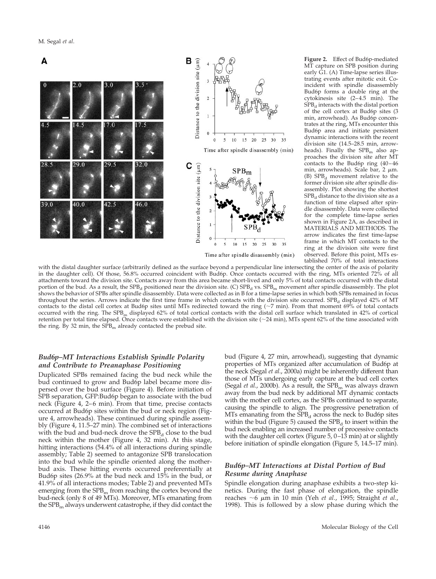

MT capture on SPB position during early G1. (A) Time-lapse series illustrating events after mitotic exit. Coincident with spindle disassembly Bud6p forms a double ring at the cytokinesis site (2–4.5 min). The  $SPB<sub>d</sub>$  interacts with the distal portion of the cell cortex at Bud6p sites (3 min, arrowhead). As Bud6p concentrates at the ring, MTs encounter this Bud6p area and initiate persistent dynamic interactions with the recent division site (14.5–28.5 min, arrowheads). Finally the  $SPB<sub>m</sub>$  also approaches the division site after MT contacts to the Bud6p ring (40–46 min, arrowheads). Scale bar, 2  $\mu$ m. (B)  $SPB<sub>d</sub>$  movement relative to the former division site after spindle disassembly. Plot showing the shortest  $SPB<sub>d</sub>$  distance to the division site as a function of time elapsed after spindle disassembly. Data were collected for the complete time-lapse series shown in Figure 2A, as described in MATERIALS AND METHODS. The arrow indicates the first time-lapse frame in which MT contacts to the ring at the division site were first observed. Before this point, MTs established 70% of total interactions

Figure 2. Effect of Bud6p-mediated

with the distal daughter surface (arbitrarily defined as the surface beyond a perpendicular line intersecting the center of the axis of polarity in the daughter cell). Of those, 56.8% occurred coincident with Bud6p. Once contacts occurred with the ring, MTs oriented 72% of all attachments toward the division site. Contacts away from this area became short-lived and only 5% of total contacts occurred with the distal portion of the bud. As a result, the  $SPB<sub>d</sub>$  positioned near the division site. (C)  $SPB<sub>d</sub>$  vs.  $SPB<sub>m</sub>$  movement after spindle disassembly. The plot shows the behavior of SPBs after spindle disassembly. Data were collected as in B for a time-lapse series in which both SPBs remained in focus throughout the series. Arrows indicate the first time frame in which contacts with the division site occurred. SPB<sub>d</sub> displayed 42% of MT contacts to the distal cell cortex at Bud6p sites until MTs redirected toward the ring  $(\sim 7 \text{ min})$ . From that moment 69% of total contacts occurred with the ring. The SPB<sub>m</sub> displayed 62% of total cortical contacts with the distal cell surface which translated in 42% of cortical retention per total time elapsed. Once contacts were established with the division site (~24 min), MTs spent 62% of the time associated with the ring. By 32 min, the  $S\bar{P}B_m$  already contacted the prebud site.

# *Bud6p–MT Interactions Establish Spindle Polarity and Contribute to Preanaphase Positioning*

Duplicated SPBs remained facing the bud neck while the bud continued to grow and Bud6p label became more dispersed over the bud surface (Figure 4). Before initiation of SPB separation, GFP:Bud6p began to associate with the bud neck (Figure 4, 2–6 min). From that time, precise contacts occurred at Bud6p sites within the bud or neck region (Figure 4, arrowheads). These continued during spindle assembly (Figure 4, 11.5–27 min). The combined set of interactions with the bud and bud-neck drove the  $SPB<sub>d</sub>$  close to the bud neck within the mother (Figure 4, 32 min). At this stage, hitting interactions (54.4% of all interactions during spindle assembly; Table 2) seemed to antagonize SPB translocation into the bud while the spindle oriented along the motherbud axis. These hitting events occurred preferentially at Bud6p sites (26.9% at the bud neck and 15% in the bud, or 41.9% of all interactions modes; Table 2) and prevented MTs emerging from the  $SPB<sub>m</sub>$  from reaching the cortex beyond the bud-neck (only 8 of 49 MTs). Moreover, MTs emanating from the  $SPB<sub>m</sub>$  always underwent catastrophe, if they did contact the

those of MTs undergoing early capture at the bud cell cortex (Segal *et al.*, 2000b). As a result, the SPB<sub>m</sub> was always drawn away from the bud neck by additional MT dynamic contacts with the mother cell cortex, as the SPBs continued to separate, causing the spindle to align. The progressive penetration of MTs emanating from the  $SPB<sub>d</sub>$  across the neck to Bud6p sites within the bud (Figure 5) caused the  $SPB<sub>d</sub>$  to insert within the bud neck enabling an increased number of processive contacts with the daughter cell cortex (Figure 5, 0–13 min) at or slightly before initiation of spindle elongation (Figure 5, 14.5–17 min). *Bud6p–MT Interactions at Distal Portion of Bud*

# *Resume during Anaphase*

Spindle elongation during anaphase exhibits a two-step kinetics. During the fast phase of elongation, the spindle reaches ~6  $\mu$ m in 10 min (Yeh *et al.,* 1995; Straight *et al.,* 1998). This is followed by a slow phase during which the

bud (Figure 4, 27 min, arrowhead), suggesting that dynamic properties of MTs organized after accumulation of Bud6p at the neck (Segal *et al.*, 2000a) might be inherently different than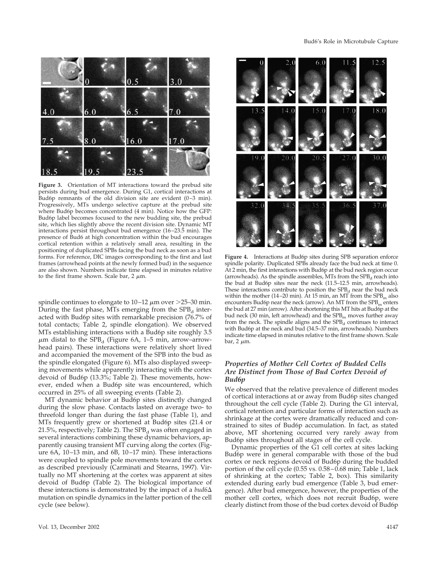

**Figure 3.** Orientation of MT interactions toward the prebud site persists during bud emergence. During G1, cortical interactions at Bud6p remnants of the old division site are evident (0–3 min). Progressively, MTs undergo selective capture at the prebud site where Bud6p becomes concentrated (4 min). Notice how the GFP: Bud6p label becomes focused to the new budding site, the prebud site, which lies slightly above the recent division site. Dynamic MT interactions persist throughout bud emergence (16–23.5 min). The presence of Bud6 at high concentration within the bud encourages cortical retention within a relatively small area, resulting in the positioning of duplicated SPBs facing the bud neck as soon as a bud forms. For reference, DIC images corresponding to the first and last frames (arrowhead points at the newly formed bud) in the sequence are also shown. Numbers indicate time elapsed in minutes relative to the first frame shown. Scale bar,  $2 \mu m$ .

spindle continues to elongate to  $10-12 \mu m$  over  $>25-30 \mu m$ . During the fast phase, MTs emerging from the  $SPB<sub>d</sub>$  interacted with Bud6p sites with remarkable precision (76.7% of total contacts; Table 2, spindle elongation). We observed MTs establishing interactions with a Bud6p site roughly 3.5  $\mu$ m distal to the SPB<sub>d</sub> (Figure 6A, 1–5 min, arrow–arrowhead pairs). These interactions were relatively short lived and accompanied the movement of the SPB into the bud as the spindle elongated (Figure 6). MTs also displayed sweeping movements while apparently interacting with the cortex devoid of Bud6p (13.3%; Table 2). These movements, however, ended when a Bud6p site was encountered, which occurred in 25% of all sweeping events (Table 2).

MT dynamic behavior at Bud6p sites distinctly changed during the slow phase. Contacts lasted on average two- to threefold longer than during the fast phase (Table 1), and MTs frequently grew or shortened at Bud6p sites (21.4 or 21.5%, respectively; Table 2). The  $SPB<sub>d</sub>$  was often engaged in several interactions combining these dynamic behaviors, apparently causing transient MT curving along the cortex (Figure 6A, 10–13 min, and 6B, 10–17 min). These interactions were coupled to spindle pole movements toward the cortex as described previously (Carminati and Stearns, 1997). Virtually no MT shortening at the cortex was apparent at sites devoid of Bud6p (Table 2). The biological importance of these interactions is demonstrated by the impact of a  $bud6\Delta$ mutation on spindle dynamics in the latter portion of the cell cycle (see below).



**Figure 4.** Interactions at Bud6p sites during SPB separation enforce spindle polarity. Duplicated SPBs already face the bud neck at time 0. At 2 min, the first interactions with Bud6p at the bud neck region occur (arrowheads). As the spindle assembles, MTs from the  $SPB<sub>d</sub>$  reach into the bud at Bud6p sites near the neck (11.5–12.5 min, arrowheads). These interactions contribute to position the  $SPB<sub>d</sub>$  near the bud neck within the mother (14–20 min). At 15 min, an MT from the  $SPB<sub>m</sub>$  also encounters Bud6p near the neck (arrow). An MT from the  $SPB<sub>m</sub>$  enters the bud at 27 min (arrow). After shortening this MT hits at Bud6p at the bud neck (30 min, left arrowhead) and the  $SPB<sub>m</sub>$  moves further away from the neck. The spindle aligns and the  $SPB<sub>d</sub>$  continues to interact with Bud6p at the neck and bud (34.5–37 min, arrowheads). Numbers indicate time elapsed in minutes relative to the first frame shown. Scale bar,  $2 \mu m$ .

# *Properties of Mother Cell Cortex of Budded Cells Are Distinct from Those of Bud Cortex Devoid of Bud6p*

We observed that the relative prevalence of different modes of cortical interactions at or away from Bud6p sites changed throughout the cell cycle (Table 2). During the G1 interval, cortical retention and particular forms of interaction such as shrinkage at the cortex were dramatically reduced and constrained to sites of Bud6p accumulation. In fact, as stated above, MT shortening occurred very rarely away from Bud6p sites throughout all stages of the cell cycle.

Dynamic properties of the G1 cell cortex at sites lacking Bud6p were in general comparable with those of the bud cortex or neck regions devoid of Bud6p during the budded portion of the cell cycle (0.55 vs. 0.58–0.68 min; Table 1, lack of shrinking at the cortex; Table 2, box). This similarity extended during early bud emergence (Table 3, bud emergence). After bud emergence, however, the properties of the mother cell cortex, which does not recruit Bud6p, were clearly distinct from those of the bud cortex devoid of Bud6p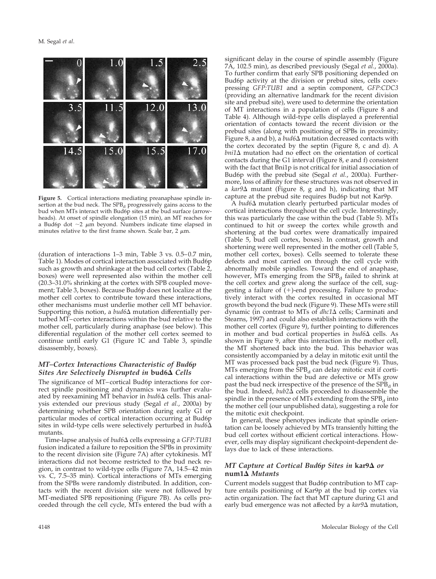

**Figure 5.** Cortical interactions mediating preanaphase spindle insertion at the bud neck. The  $SPB<sub>d</sub>$  progressively gains access to the bud when MTs interact with Bud6p sites at the bud surface (arrowheads). At onset of spindle elongation (15 min), an MT reaches for a Bud6p dot  $\sim$ 2  $\mu$ m beyond. Numbers indicate time elapsed in minutes relative to the first frame shown. Scale bar,  $2 \mu m$ .

(duration of interactions 1–3 min, Table 3 vs. 0.5–0.7 min, Table 1). Modes of cortical interaction associated with Bud6p such as growth and shrinkage at the bud cell cortex (Table  $2$ , boxes) were well represented also within the mother cell (20.3–31.0% shrinking at the cortex with SPB coupled movement; Table 3, boxes). Because Bud6p does not localize at the mother cell cortex to contribute toward these interactions, other mechanisms must underlie mother cell MT behavior. Supporting this notion, a  $bud6\Delta$  mutation differentially perturbed MT–cortex interactions within the bud relative to the mother cell, particularly during anaphase (see below). This differential regulation of the mother cell cortex seemed to continue until early G1 (Figure 1C and Table 3, spindle disassembly, boxes).

# *MT–Cortex Interactions Characteristic of Bud6p Sites Are Selectively Disrupted in* **bud6** *Cells*

The significance of MT–cortical Bud6p interactions for correct spindle positioning and dynamics was further evaluated by reexamining MT behavior in  $bud6\Delta$  cells. This analysis extended our previous study (Segal *et al.*, 2000a) by determining whether SPB orientation during early G1 or particular modes of cortical interaction occurring at Bud6p sites in wild-type cells were selectively perturbed in *bud6* mutants.

Time-lapse analysis of *bud6* cells expressing a *GFP:TUB1* fusion indicated a failure to reposition the SPBs in proximity to the recent division site (Figure 7A) after cytokinesis. MT interactions did not become restricted to the bud neck region, in contrast to wild-type cells (Figure 7A, 14.5–42 min vs. C, 7.5–35 min). Cortical interactions of MTs emerging from the SPBs were randomly distributed. In addition, contacts with the recent division site were not followed by MT-mediated SPB repositioning (Figure 7B). As cells proceeded through the cell cycle, MTs entered the bud with a significant delay in the course of spindle assembly (Figure 7A, 102.5 min), as described previously (Segal *et al.*, 2000a). To further confirm that early SPB positioning depended on Bud6p activity at the division or prebud sites, cells coexpressing *GFP:TUB1* and a septin component, *GFP:CDC3* (providing an alternative landmark for the recent division site and prebud site), were used to determine the orientation of MT interactions in a population of cells (Figure 8 and Table 4). Although wild-type cells displayed a preferential orientation of contacts toward the recent division or the prebud sites (along with positioning of SPBs in proximity; Figure 8, a and b), a  $bud6\Delta$  mutation decreased contacts with the cortex decorated by the septin (Figure 8, c and d). A  $bni1\Delta$  mutation had no effect on the orientation of cortical contacts during the G1 interval (Figure 8, e and f) consistent with the fact that Bni1p is not critical for initial association of Bud6p with the prebud site (Segal *et al.*, 2000a). Furthermore, loss of affinity for these structures was not observed in a  $kar9\Delta$  mutant (Figure 8, g and h), indicating that MT capture at the prebud site requires Bud6p but not Kar9p.

A *bud6*∆ mutation clearly perturbed particular modes of cortical interactions throughout the cell cycle. Interestingly, this was particularly the case within the bud (Table 5). MTs continued to hit or sweep the cortex while growth and shortening at the bud cortex were dramatically impaired (Table 5, bud cell cortex, boxes). In contrast, growth and shortening were well represented in the mother cell (Table 5, mother cell cortex, boxes). Cells seemed to tolerate these defects and most carried on through the cell cycle with abnormally mobile spindles. Toward the end of anaphase, however, MTs emerging from the  $SPB<sub>d</sub>$  failed to shrink at the cell cortex and grew along the surface of the cell, suggesting a failure of  $(+)$ -end processing. Failure to productively interact with the cortex resulted in occasional MT growth beyond the bud neck (Figure 9). These MTs were still dynamic (in contrast to MTs of *dhc1* a cells; Carminati and Stearns, 1997) and could also establish interactions with the mother cell cortex (Figure 9), further pointing to differences in mother and bud cortical properties in  $bud6\Delta$  cells. As shown in Figure 9, after this interaction in the mother cell, the MT shortened back into the bud. This behavior was consistently accompanied by a delay in mitotic exit until the MT was processed back past the bud neck (Figure 9). Thus, MTs emerging from the  $\overline{SPB}_d$  can delay mitotic exit if cortical interactions within the bud are defective or MTs grow past the bud neck irrespective of the presence of the SPB<sub>d</sub> in the bud. Indeed,  $bub2\overline{\Delta}$  cells proceeded to disassemble the spindle in the presence of MTs extending from the  $SPB<sub>d</sub>$  into the mother cell (our unpublished data), suggesting a role for the mitotic exit checkpoint.

In general, these phenotypes indicate that spindle orientation can be loosely achieved by MTs transiently hitting the bud cell cortex without efficient cortical interactions. However, cells may display significant checkpoint-dependent delays due to lack of these interactions.

## *MT Capture at Cortical Bud6p Sites in kar9* $\Delta$  *or* **num1** *Mutants*

Current models suggest that Bud6p contribution to MT capture entails positioning of Kar9p at the bud tip cortex via actin organization. The fact that MT capture during G1 and early bud emergence was not affected by a *kar9* amutation,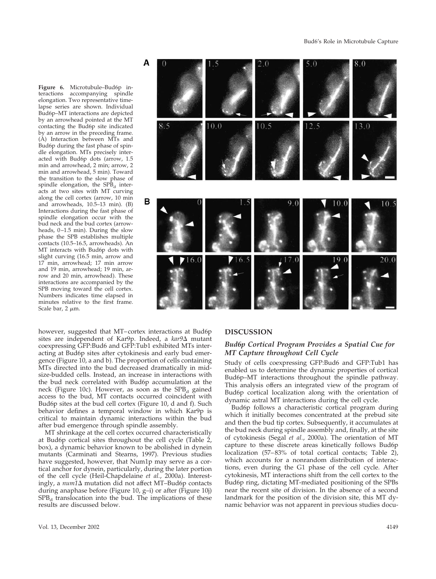**Figure 6.** Microtubule–Bud6p interactions accompanying spindle elongation. Two representative timelapse series are shown. Individual Bud6p–MT interactions are depicted by an arrowhead pointed at the MT contacting the Bud6p site indicated by an arrow in the preceding frame. (A) Interaction between MTs and Bud6p during the fast phase of spindle elongation. MTs precisely interacted with Bud6p dots (arrow, 1.5 min and arrowhead, 2 min; arrow, 2 min and arrowhead, 5 min). Toward the transition to the slow phase of spindle elongation, the  $SPB<sub>d</sub>$  interacts at two sites with MT curving along the cell cortex (arrow, 10 min and arrowheads, 10.5–13 min). (B) Interactions during the fast phase of spindle elongation occur with the bud neck and the bud cortex (arrowheads, 0–1.5 min). During the slow phase the SPB establishes multiple contacts (10.5–16.5, arrowheads). An MT interacts with Bud6p dots with slight curving (16.5 min, arrow and 17 min, arrowhead; 17 min arrow and 19 min, arrowhead; 19 min, arrow and 20 min, arrowhead). These interactions are accompanied by the SPB moving toward the cell cortex. Numbers indicates time elapsed in minutes relative to the first frame. Scale bar,  $2 \mu m$ .

however, suggested that MT–cortex interactions at Bud6p sites are independent of Kar9p. Indeed, a kar9 $\Delta$  mutant coexpressing GFP:Bud6 and GFP:Tub1 exhibited MTs interacting at Bud6p sites after cytokinesis and early bud emergence (Figure 10, a and b). The proportion of cells containing MTs directed into the bud decreased dramatically in midsize-budded cells. Instead, an increase in interactions with the bud neck correlated with Bud6p accumulation at the neck (Figure 10c). However, as soon as the  $SPB<sub>d</sub>$  gained access to the bud, MT contacts occurred coincident with Bud6p sites at the bud cell cortex (Figure 10, d and f). Such behavior defines a temporal window in which Kar9p is critical to maintain dynamic interactions within the bud after bud emergence through spindle assembly.

A

в

MT shrinkage at the cell cortex occurred characteristically at Bud6p cortical sites throughout the cell cycle (Table 2, box), a dynamic behavior known to be abolished in dynein mutants (Carminati and Stearns, 1997). Previous studies have suggested, however, that Num1p may serve as a cortical anchor for dynein, particularly, during the later portion of the cell cycle (Heil-Chapdelaine *et al.*, 2000a). Interestingly, a  $num1\Delta$  mutation did not affect MT–Bud6p contacts during anaphase before (Figure 10, g–i) or after (Figure 10j)  $SPB<sub>d</sub>$  translocation into the bud. The implications of these results are discussed below.



#### **DISCUSSION**

# *Bud6p Cortical Program Provides a Spatial Cue for MT Capture throughout Cell Cycle*

Study of cells coexpressing GFP:Bud6 and GFP:Tub1 has enabled us to determine the dynamic properties of cortical Bud6p–MT interactions throughout the spindle pathway. This analysis offers an integrated view of the program of Bud6p cortical localization along with the orientation of dynamic astral MT interactions during the cell cycle.

Bud6p follows a characteristic cortical program during which it initially becomes concentrated at the prebud site and then the bud tip cortex. Subsequently, it accumulates at the bud neck during spindle assembly and, finally, at the site of cytokinesis (Segal *et al.*, 2000a). The orientation of MT capture to these discrete areas kinetically follows Bud6p localization (57–83% of total cortical contacts; Table 2), which accounts for a nonrandom distribution of interactions, even during the G1 phase of the cell cycle. After cytokinesis, MT interactions shift from the cell cortex to the Bud6p ring, dictating MT-mediated positioning of the SPBs near the recent site of division. In the absence of a second landmark for the position of the division site, this MT dynamic behavior was not apparent in previous studies docu-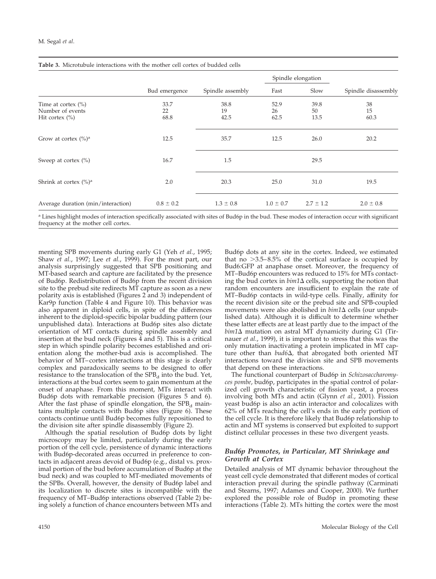|                                                                  |                    |                    |                    | Spindle elongation |                     |
|------------------------------------------------------------------|--------------------|--------------------|--------------------|--------------------|---------------------|
|                                                                  | Bud emergence      | Spindle assembly   | Fast               | Slow               | Spindle disassembly |
| Time at cortex $(\% )$<br>Number of events<br>Hit cortex $(\% )$ | 33.7<br>22<br>68.8 | 38.8<br>19<br>42.5 | 52.9<br>26<br>62.5 | 39.8<br>50<br>13.5 | 38<br>15<br>60.3    |
| Grow at cortex $(\% )^a$                                         | 12.5               | 35.7               | 12.5               | 26.0               | 20.2                |
| Sweep at cortex $(\% )$                                          | 16.7               | 1.5                |                    | 29.5               |                     |
| Shrink at cortex $(\% )^a$                                       | 2.0                | 20.3               | 25.0               | 31.0               | 19.5                |
| Average duration (min/interaction)                               | $0.8 \pm 0.2$      | $1.3 \pm 0.8$      | $1.0 \pm 0.7$      | $2.7 \pm 1.2$      | $2.0 \pm 0.8$       |

a Lines highlight modes of interaction specifically associated with sites of Bud6p in the bud. These modes of interaction occur with significant frequency at the mother cell cortex.

menting SPB movements during early G1 (Yeh *et al.*, 1995; Shaw *et al.*, 1997; Lee *et al.*, 1999). For the most part, our analysis surprisingly suggested that SPB positioning and MT-based search and capture are facilitated by the presence of Bud6p. Redistribution of Bud6p from the recent division site to the prebud site redirects MT capture as soon as a new polarity axis is established (Figures 2 and 3) independent of Kar9p function (Table 4 and Figure 10). This behavior was also apparent in diploid cells, in spite of the differences inherent to the diploid-specific bipolar budding pattern (our unpublished data). Interactions at Bud6p sites also dictate orientation of MT contacts during spindle assembly and insertion at the bud neck (Figures 4 and 5). This is a critical step in which spindle polarity becomes established and orientation along the mother-bud axis is accomplished. The behavior of MT–cortex interactions at this stage is clearly complex and paradoxically seems to be designed to offer resistance to the translocation of the  $SPB<sub>d</sub>$  into the bud. Yet, interactions at the bud cortex seem to gain momentum at the onset of anaphase. From this moment, MTs interact with Bud6p dots with remarkable precision (Figures 5 and 6). After the fast phase of spindle elongation, the  $SPB<sub>d</sub>$  maintains multiple contacts with Bud6p sites (Figure 6). These contacts continue until Bud6p becomes fully repositioned to the division site after spindle disassembly (Figure 2).

Although the spatial resolution of Bud6p dots by light microscopy may be limited, particularly during the early portion of the cell cycle, persistence of dynamic interactions with Bud6p-decorated areas occurred in preference to contacts in adjacent areas devoid of Bud6p (e.g., distal vs. proximal portion of the bud before accumulation of Bud6p at the bud neck) and was coupled to MT-mediated movements of the SPBs. Overall, however, the density of Bud6p label and its localization to discrete sites is incompatible with the frequency of MT–Bud6p interactions observed (Table 2) being solely a function of chance encounters between MTs and

Bud6p dots at any site in the cortex. Indeed, we estimated that no  $>3.5-8.5\%$  of the cortical surface is occupied by Bud6:GFP at anaphase onset. Moreover, the frequency of MT–Bud6p encounters was reduced to 15% for MTs contacting the bud cortex in  $\text{bin1}\Delta$  cells, supporting the notion that random encounters are insufficient to explain the rate of MT–Bud6p contacts in wild-type cells. Finally, affinity for the recent division site or the prebud site and SPB-coupled movements were also abolished in  $\frac{bin1}{\Delta}$  cells (our unpublished data). Although it is difficult to determine whether these latter effects are at least partly due to the impact of the  $bim1\Delta$  mutation on astral MT dynamicity during G1 (Tirnauer *et al.*, 1999), it is important to stress that this was the only mutation inactivating a protein implicated in MT capture other than *bud6,* that abrogated both oriented MT interactions toward the division site and SPB movements that depend on these interactions.

The functional counterpart of Bud6p in *Schizosaccharomyces pombe*, bud6p, participates in the spatial control of polarized cell growth characteristic of fission yeast, a process involving both MTs and actin (Glynn *et al.*, 2001). Fission yeast bud6p is also an actin interactor and colocalizes with 62% of MTs reaching the cell's ends in the early portion of the cell cycle. It is therefore likely that Bud6p relationship to actin and MT systems is conserved but exploited to support distinct cellular processes in these two divergent yeasts.

### *Bud6p Promotes, in Particular, MT Shrinkage and Growth at Cortex*

Detailed analysis of MT dynamic behavior throughout the yeast cell cycle demonstrated that different modes of cortical interaction prevail during the spindle pathway (Carminati and Stearns, 1997; Adames and Cooper, 2000). We further explored the possible role of Bud6p in promoting these interactions (Table 2). MTs hitting the cortex were the most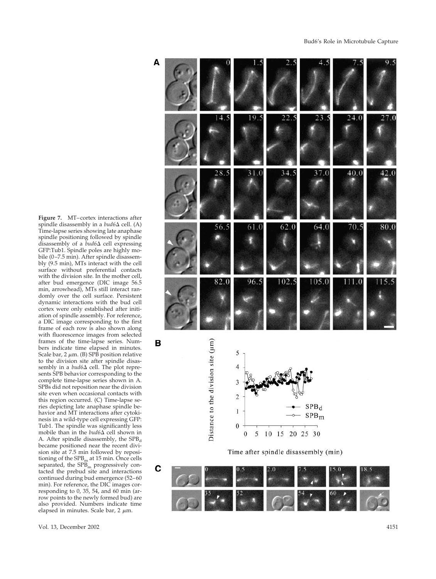**Figure 7.** MT –cortex interactions after spindle disassembly in a *bud*6∆ cell. (A) Time-lapse series showing late anaphase spindle positioning followed by spindle disassembly of a *bud*6∆ cell expressing GFP:Tub1. Spindle poles are highly mobile (0–7.5 min). After spindle disassembly (9.5 min), MTs interact with the cell surface without preferential contacts with the division site. In the mother cell, after bud emergence (DIC image 56.5 min, arrowhead), MTs still interact randomly over the cell surface. Persistent dynamic interactions with the bud cell cortex were only established after initiation of spindle assembly. For reference, a DIC image corresponding to the first frame of each row is also shown along with fluorescence images from selected frames of the time-lapse series. Numbers indicate time elapsed in minutes. Scale bar, 2 m. (B) SPB position relative to the division site after spindle disassembly in a  $bud6\Delta$  cell. The plot represents SPB behavior corresponding to the complete time-lapse series shown in A. SPBs did not reposition near the division site even when occasional contacts with this region occurred. (C) Time-lapse series depicting late anaphase spindle behavior and MT interactions after cytokinesis in a wild-type cell expressing GFP: Tub1. The spindle was signi ficantly less mobile than in the *bud*6∆ cell shown in A. After spindle disassembly, the SPB d became positioned near the recent division site at 7.5 min followed by repositioning of the  $SPB<sub>m</sub>$  at 15 min. Once cells separated, the SPB <sup>m</sup> progressively contacted the prebud site and interactions continued during bud emergence (52 –60 min). For reference, the DIC images corresponding to 0, 35, 54, and 60 min (arrow points to the newly formed bud) are also provided. Numbers indicate time elapsed in minutes. Scale bar, 2 m.

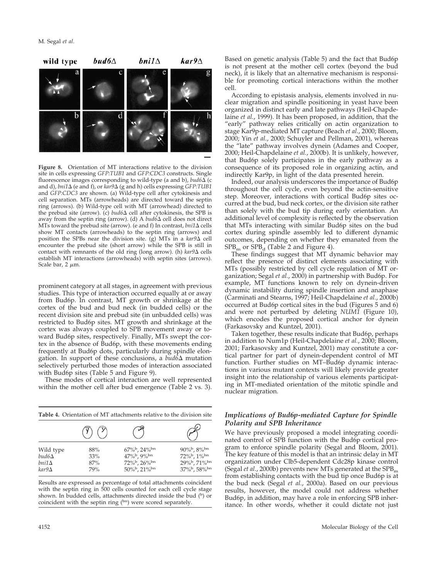

**Figure 8.** Orientation of MT interactions relative to the division site in cells expressing *GFP:TUB1* and *GFP:CDC3* constructs. Single fluorescence images corresponding to wild-type (a and b), *bud6*  $\Delta$  (c and d), *bni1* (e and f), or *kar9* (g and h) cells expressing *GFP:TUB1* and *GFP:CDC3* are shown. (a) Wild-type cell after cytokinesis and cell separation. MTs (arrowheads) are directed toward the septin ring (arrows). (b) Wild-type cell with MT (arrowhead) directed to the prebud site (arrow). (c) *bud6* cell after cytokinesis, the SPB is away from the septin ring (arrow). (d) A  $bud6\Delta$  cell does not direct MTs toward the prebud site (arrow). (e and f) In contrast,  $bni1\Delta$  cells show MT contacts (arrowheads) to the septin ring (arrows) and position the SPBs near the division site. (g) MTs in a  $kar9\Delta$  cell encounter the prebud site (short arrow) while the SPB is still in contact with remnants of the old ring (long arrow). (h)  $kar9\Delta$  cells establish MT interactions (arrowheads) with septin sites (arrows). Scale bar,  $2 \mu m$ .

prominent category at all stages, in agreement with previous studies. This type of interaction occurred equally at or away from Bud6p. In contrast, MT growth or shrinkage at the cortex of the bud and bud neck (in budded cells) or the recent division site and prebud site (in unbudded cells) was restricted to Bud6p sites. MT growth and shrinkage at the cortex was always coupled to SPB movement away or toward Bud6p sites, respectively. Finally, MTs swept the cortex in the absence of Bud6p, with these movements ending frequently at Bud6p dots, particularly during spindle elongation. In support of these conclusions, a  $bud6\Delta$  mutation selectively perturbed those modes of interaction associated with Bud6p sites (Table 5 and Figure 9).

These modes of cortical interaction are well represented within the mother cell after bud emergence (Table 2 vs. 3).

| <b>Table 4.</b> Orientation of MT attachments relative to the division site |                          |                                                                                        |                                                                                       |  |  |
|-----------------------------------------------------------------------------|--------------------------|----------------------------------------------------------------------------------------|---------------------------------------------------------------------------------------|--|--|
|                                                                             | $(Y)$ $(Y)$              |                                                                                        |                                                                                       |  |  |
| Wild type<br>$bud6\Delta$<br>$bni1\Delta$<br>$kar9\Delta$                   | 88%<br>33%<br>87%<br>79% | $67\%$ <sub>b</sub> , $24\%$ <sup>bn</sup><br>47%b, 9%bn<br>72%b, 26%bn<br>50%b, 21%bn | $90\%$ <sub>b</sub> , $8\%$ <sup>bn</sup><br>72%b, 1%bn<br>29%b, 71%bn<br>37%b, 58%bn |  |  |

Results are expressed as percentage of total attachments coincident with the septin ring in 500 cells counted for each cell cycle stage shown. In budded cells, attachments directed inside the bud  $($ b $)$  or coincident with the septin ring  $(5n)$  were scored separately.

clear migration and spindle positioning in yeast have been organized in distinct early and late pathways (Heil-Chapdelaine *et al.*, 1999). It has been proposed, in addition, that the "early" pathway relies critically on actin organization to stage Kar9p-mediated MT capture (Beach *et al.*, 2000; Bloom, 2000; Yin *et al.*, 2000; Schuyler and Pellman, 2001), whereas the "late" pathway involves dynein (Adames and Cooper, 2000; Heil-Chapdelaine *et al.*, 2000b). It is unlikely, however, that Bud6p solely participates in the early pathway as a consequence of its proposed role in organizing actin, and indirectly Kar9p, in light of the data presented herein.

Based on genetic analysis (Table 5) and the fact that Bud6p

Indeed, our analysis underscores the importance of Bud6p throughout the cell cycle, even beyond the actin-sensitive step. Moreover, interactions with cortical Bud6p sites occurred at the bud, bud neck cortex, or the division site rather than solely with the bud tip during early orientation. An additional level of complexity is reflected by the observation that MTs interacting with similar Bud6p sites on the bud cortex during spindle assembly led to different dynamic outcomes, depending on whether they emanated from the  $SPB<sub>m</sub>$  or  $SPB<sub>d</sub>$  (Table 2 and Figure 4).

These findings suggest that MT dynamic behavior may reflect the presence of distinct elements associating with MTs (possibly restricted by cell cycle regulation of MT organization; Segal *et al.*, 2000) in partnership with Bud6p. For example, MT functions known to rely on dynein-driven dynamic instability during spindle insertion and anaphase (Carminati and Stearns, 1997; Heil-Chapdelaine *et al.*, 2000b) occurred at Bud6p cortical sites in the bud (Figures 5 and 6) and were not perturbed by deleting *NUM1* (Figure 10), which encodes the proposed cortical anchor for dynein (Farkasovsky and Kuntzel, 2001).

Taken together, these results indicate that Bud6p, perhaps in addition to Num1p (Heil-Chapdelaine *et al.*, 2000; Bloom, 2001; Farkasovsky and Kuntzel, 2001) may constitute a cortical partner for part of dynein-dependent control of MT function. Further studies on MT–Bud6p dynamic interactions in various mutant contexts will likely provide greater insight into the relationship of various elements participating in MT-mediated orientation of the mitotic spindle and nuclear migration.

# *Implications of Bud6p-mediated Capture for Spindle Polarity and SPB Inheritance*

We have previously proposed a model integrating coordinated control of SPB function with the Bud6p cortical program to enforce spindle polarity (Segal and Bloom, 2001). The key feature of this model is that an intrinsic delay in MT organization under Clb5-dependent Cdc28p kinase control (Segal *et al.*, 2000b) prevents new MTs generated at the SPB<sub>m</sub> from establishing contacts with the bud tip once Bud6p is at the bud neck (Segal *et al.*, 2000a). Based on our previous results, however, the model could not address whether Bud6p, in addition, may have a role in enforcing SPB inheritance. In other words, whether it could dictate not just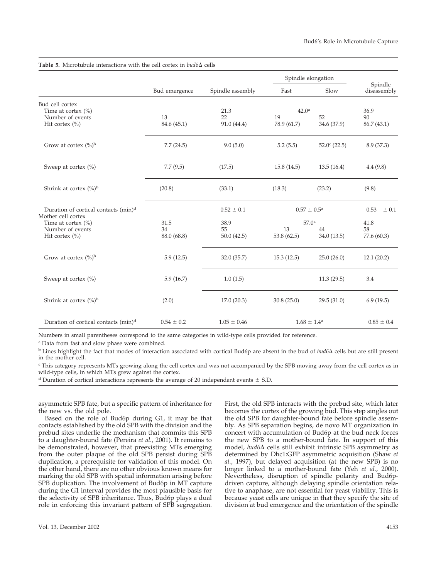|                                                                                     | Bud emergence     |                          | Spindle elongation                     |                        |                           |
|-------------------------------------------------------------------------------------|-------------------|--------------------------|----------------------------------------|------------------------|---------------------------|
|                                                                                     |                   | Spindle assembly         | Fast                                   | Slow                   | Spindle<br>disassembly    |
| Bud cell cortex<br>Time at cortex $(\% )$<br>Number of events<br>Hit cortex $(\% )$ | 13<br>84.6 (45.1) | 21.3<br>22<br>91.0(44.4) | 42.0 <sup>a</sup><br>19<br>78.9 (61.7) | 52<br>34.6 (37.9)      | 36.9<br>90<br>86.7 (43.1) |
| Grow at cortex $({\%})^{\text{b}}$                                                  | 7.7(24.5)         | 9.0(5.0)                 | 5.2(5.5)                               | $52.0^{\circ}$ (22.5)  | 8.9 (37.3)                |
| Sweep at cortex $(\% )$                                                             | 7.7(9.5)          | (17.5)                   | 15.8(14.5)                             | 13.5(16.4)             | 4.4(9.8)                  |
| Shrink at cortex $(\%)^b$                                                           | (20.8)            | (33.1)                   | (18.3)                                 | (23.2)                 | (9.8)                     |
| Duration of cortical contacts (min) <sup>d</sup><br>Mother cell cortex              |                   | $0.52 \pm 0.1$           | $0.57 \pm 0.5^{\rm a}$                 |                        | 0.53<br>± 0.1             |
| Time at cortex $(\% )$                                                              | 31.5              | 38.9                     | 57.0 <sup>a</sup>                      |                        | 41.8                      |
| Number of events<br>Hit cortex $(\% )$                                              | 34<br>88.0 (68.8) | 55<br>50.0(42.5)         | 13<br>53.8 (62.5)                      | 44<br>34.0 (13.5)      | 58<br>77.6 (60.3)         |
| Grow at cortex $({\%})^b$                                                           | 5.9(12.5)         | 32.0 (35.7)              | 15.3(12.5)                             | 25.0(26.0)             | 12.1(20.2)                |
| Sweep at cortex $(%)$                                                               | 5.9(16.7)         | 1.0(1.5)                 |                                        | 11.3(29.5)             | 3.4                       |
| Shrink at cortex $(\%)^b$                                                           | (2.0)             | 17.0(20.3)               | 30.8(25.0)                             | 29.5(31.0)             | 6.9(19.5)                 |
| Duration of cortical contacts (min) <sup>d</sup>                                    | $0.54 \pm 0.2$    | $1.05 \pm 0.46$          |                                        | $1.68 \pm 1.4^{\circ}$ | $0.85 \pm 0.4$            |

Table 5. Microtubule interactions with the cell cortex in  $bud6\Delta$  cells

Numbers in small parentheses correspond to the same categories in wild-type cells provided for reference.

<sup>a</sup> Data from fast and slow phase were combined.

 $\frac{b}{b}$  Lines highlight the fact that modes of interaction associated with cortical Bud6p are absent in the bud of  $bud6\Delta$  cells but are still present in the mother cell.

<sup>c</sup> This category represents MTs growing along the cell cortex and was not accompanied by the SPB moving away from the cell cortex as in wild-type cells, in which MTs grew against the cortex.

<sup>d</sup> Duration of cortical interactions represents the average of 20 independent events  $\pm$  S.D.

asymmetric SPB fate, but a specific pattern of inheritance for the new vs. the old pole.

Based on the role of Bud6p during G1, it may be that contacts established by the old SPB with the division and the prebud sites underlie the mechanism that commits this SPB to a daughter-bound fate (Pereira *et al.*, 2001). It remains to be demonstrated, however, that preexisting MTs emerging from the outer plaque of the old SPB persist during SPB duplication, a prerequisite for validation of this model. On the other hand, there are no other obvious known means for marking the old SPB with spatial information arising before SPB duplication. The involvement of Bud6p in MT capture during the G1 interval provides the most plausible basis for the selectivity of SPB inheritance. Thus, Bud6p plays a dual role in enforcing this invariant pattern of SPB segregation.

First, the old SPB interacts with the prebud site, which later becomes the cortex of the growing bud. This step singles out the old SPB for daughter-bound fate before spindle assembly. As SPB separation begins, de novo MT organization in concert with accumulation of Bud6p at the bud neck forces the new SPB to a mother-bound fate. In support of this model, *bud6* cells still exhibit intrinsic SPB asymmetry as determined by Dhc1:GFP asymmetric acquisition (Shaw *et al.*, 1997), but delayed acquisition (at the new SPB) is no longer linked to a mother-bound fate (Yeh *et al.*, 2000). Nevertheless, disruption of spindle polarity and Bud6pdriven capture, although delaying spindle orientation relative to anaphase, are not essential for yeast viability. This is because yeast cells are unique in that they specify the site of division at bud emergence and the orientation of the spindle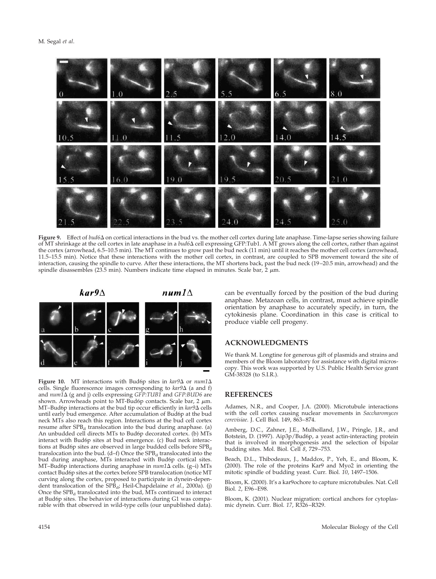

**Figure 9.** Effect of *bud6* on cortical interactions in the bud vs. the mother cell cortex during late anaphase. Time-lapse series showing failure of MT shrinkage at the cell cortex in late anaphase in a *bud6* cell expressing GFP:Tub1. A MT grows along the cell cortex, rather than against the cortex (arrowhead, 6.5–10.5 min). The MT continues to grow past the bud neck (11 min) until it reaches the mother cell cortex (arrowhead, 11.5–15.5 min). Notice that these interactions with the mother cell cortex, in contrast, are coupled to SPB movement toward the site of interaction, causing the spindle to curve. After these interactions, the MT shortens back, past the bud neck (19–20.5 min, arrowhead) and the spindle disassembles (23.5 min). Numbers indicate time elapsed in minutes. Scale bar,  $2 \mu m$ .



**Figure 10.** MT interactions with Bud6p sites in  $kar9\Delta$  or  $num1\Delta$ cells. Single fluorescence images corresponding to  $kar9\Delta$  (a and f) and *num1* (g and j) cells expressing *GFP:TUB1* and *GFP:BUD6* are shown. Arrowheads point to MT-Bud6p contacts. Scale bar, 2  $\mu$ m. MT–Bud6p interactions at the bud tip occur efficiently in  $kar9\Delta$  cells until early bud emergence. After accumulation of Bud6p at the bud neck MTs also reach this region. Interactions at the bud cell cortex resume after  $SPB<sub>d</sub>$  translocation into the bud during anaphase. (a) An unbudded cell directs MTs to Bud6p decorated cortex. (b) MTs interact with Bud6p sites at bud emergence. (c) Bud neck interactions at Bud6p sites are observed in large budded cells before  $SPB<sub>d</sub>$ translocation into the bud.  $(d-f)$  Once the SPB<sub>d</sub> translocated into the bud during anaphase, MTs interacted with Bud6p cortical sites. MT-Bud6p interactions during anaphase in  $num1\Delta$  cells. (g-i) MTs contact Bud6p sites at the cortex before SPB translocation (notice MT curving along the cortex, proposed to participate in dynein-dependent translocation of the SPB<sub>d</sub>; Heil-Chapdelaine *et al.*, 2000a). (j) Once the  $SPB<sub>d</sub>$  translocated into the bud, MTs continued to interact at Bud6p sites. The behavior of interactions during G1 was comparable with that observed in wild-type cells (our unpublished data). can be eventually forced by the position of the bud during anaphase. Metazoan cells, in contrast, must achieve spindle orientation by anaphase to accurately specify, in turn, the cytokinesis plane. Coordination in this case is critical to produce viable cell progeny.

### **ACKNOWLEDGMENTS**

We thank M. Longtine for generous gift of plasmids and strains and members of the Bloom laboratory for assistance with digital microscopy. This work was supported by U.S. Public Health Service grant GM-38328 (to S.I.R.).

### **REFERENCES**

Adames, N.R., and Cooper, J.A. (2000). Microtubule interactions with the cell cortex causing nuclear movements in *Saccharomyces cerevisiae*. J. Cell Biol. 149, 863–874.

Amberg, D.C., Zahner, J.E., Mulholland, J.W., Pringle, J.R., and Botstein, D. (1997). Aip3p/Bud6p, a yeast actin-interacting protein that is involved in morphogenesis and the selection of bipolar budding sites. Mol. Biol. Cell *8*, 729–753.

Beach, D.L., Thibodeaux, J., Maddox, P., Yeh, E., and Bloom, K. (2000). The role of the proteins Kar9 and Myo2 in orienting the mitotic spindle of budding yeast. Curr. Biol. *10*, 1497–1506.

Bloom, K. (2000). It's a kar9ochore to capture microtubules. Nat. Cell Biol. *2*, E96–E98.

Bloom, K. (2001). Nuclear migration: cortical anchors for cytoplasmic dynein. Curr. Biol. *17*, R326–R329.